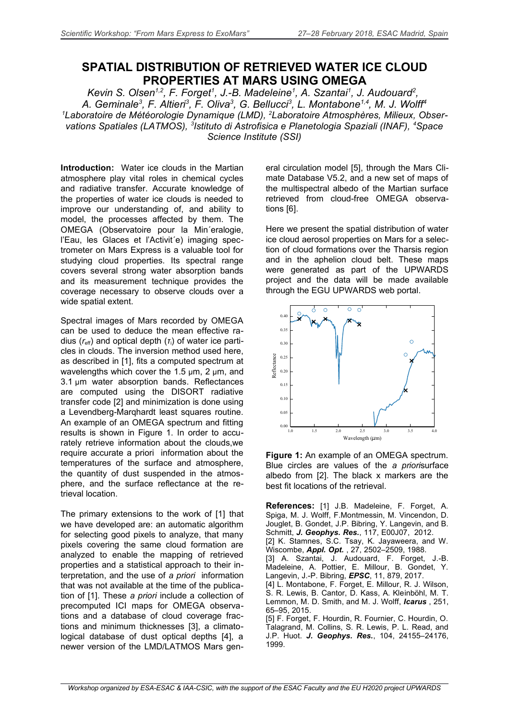## **SPATIAL DISTRIBUTION OF RETRIEVED WATER ICE CLOUD PROPERTIES AT MARS USING OMEGA**

Kevin S. Olsen<sup>1,2</sup>, F. Forget<sup>1</sup>, J.-B. Madeleine<sup>1</sup>, A. Szantai<sup>1</sup>, J. Audouard<sup>2</sup>, *A. Geminale<sup>3</sup> , F. Altieri<sup>3</sup> , F. Oliva<sup>3</sup> , G. Bellucci<sup>3</sup> , L. Montabone1,4, M. J. Wolff<sup>4</sup> 1Laboratoire de Météorologie Dynamique (LMD), 2Laboratoire Atmosphères, Milieux, Observations Spatiales (LATMOS), <sup>3</sup> Istituto di Astrofisica e Planetologia Spaziali (INAF), <sup>4</sup>Space Science Institute (SSI)*

**Introduction:** Water ice clouds in the Martian atmosphere play vital roles in chemical cycles and radiative transfer. Accurate knowledge of the properties of water ice clouds is needed to improve our understanding of, and ability to model, the processes affected by them. The OMEGA (Observatoire pour la Min´eralogie, l'Eau, les Glaces et l'Activit´e) imaging spectrometer on Mars Express is a valuable tool for studying cloud properties. Its spectral range covers several strong water absorption bands and its measurement technique provides the coverage necessary to observe clouds over a wide spatial extent.

Spectral images of Mars recorded by OMEGA can be used to deduce the mean effective radius (*r*eff) and optical depth (*τ*i) of water ice particles in clouds. The inversion method used here, as described in [1], fits a computed spectrum at wavelengths which cover the 1.5 μm, 2 μm, and 3.1 μm water absorption bands. Reflectances are computed using the DISORT radiative transfer code [2] and minimization is done using a Levendberg-Marqhardt least squares routine. An example of an OMEGA spectrum and fitting results is shown in Figure 1. In order to accurately retrieve information about the clouds,we require accurate a priori information about the temperatures of the surface and atmosphere, the quantity of dust suspended in the atmosphere, and the surface reflectance at the retrieval location.

The primary extensions to the work of [1] that we have developed are: an automatic algorithm for selecting good pixels to analyze, that many pixels covering the same cloud formation are analyzed to enable the mapping of retrieved properties and a statistical approach to their interpretation, and the use of *a priori* information that was not available at the time of the publication of [1]. These *a priori* include a collection of precomputed ICI maps for OMEGA observations and a database of cloud coverage fractions and minimum thicknesses [3], a climatological database of dust optical depths [4], a newer version of the LMD/LATMOS Mars gen-

eral circulation model [5], through the Mars Climate Database V5.2, and a new set of maps of the multispectral albedo of the Martian surface retrieved from cloud-free OMEGA observations [6].

Here we present the spatial distribution of water ice cloud aerosol properties on Mars for a selection of cloud formations over the Tharsis region and in the aphelion cloud belt. These maps were generated as part of the UPWARDS project and the data will be made available through the EGU UPWARDS web portal.



**Figure 1:** An example of an OMEGA spectrum. Blue circles are values of the *a priori*surface albedo from [2]. The black x markers are the best fit locations of the retrieval.

**References:** [1] J.B. Madeleine, F. Forget, A. Spiga, M. J. Wolff, F.Montmessin, M. Vincendon, D. Jouglet, B. Gondet, J.P. Bibring, Y. Langevin, and B. Schmitt, *J. Geophys. Res.*, 117, E00J07, 2012. [2] K. Stamnes, S.C. Tsay, K. Jayaweera, and W. Wiscombe, *Appl. Opt.* , 27, 2502–2509, 1988. [3] A. Szantai, J. Audouard, F. Forget, J.-B. Madeleine, A. Pottier, E. Millour, B. Gondet, Y. Langevin, J.-P. Bibring, *EPSC*, 11, 879, 2017. [4] L. Montabone, F. Forget, E. Millour, R. J. Wilson, S. R. Lewis, B. Cantor, D. Kass, A. Kleinböhl, M. T. Lemmon, M. D. Smith, and M. J. Wolff, *Icarus* , 251, 65–95, 2015. [5] F. Forget, F. Hourdin, R. Fournier, C. Hourdin, O. Talagrand, M. Collins, S. R. Lewis, P. L. Read, and J.P. Huot. *J. Geophys. Res.*, 104, 24155–24176,

1999.